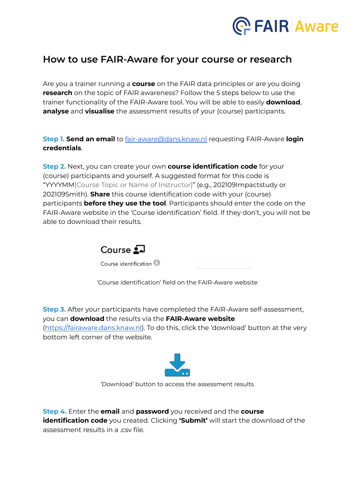

## **How to use FAIR-Aware for your course or research**

Are you a trainer running a **course** on the FAIR data principles or are you doing **research** on the topic of FAIR awareness? Follow the 5 steps below to use the trainer functionality of the FAIR-Aware tool. You will be able to easily **download**, **analyse** and **visualise** the assessment results of your (course) participants.

**Step 1. Send an email** to [fair-aware@dans.knaw.nl](mailto:fair-aware@dans.knaw.nl) requesting FAIR-Aware **login credentials**.

**Step 2.** Next, you can create your own **course identification code** for your (course) participants and yourself. A suggested format for this code is "YYYYMM[Course Topic or Name of Instructor]" (e.g., 202109Impactstudy or 202109Smith). **Share** this course identification code with your (course) participants **before they use the tool**. Participants should enter the code on the FAIR-Aware website in the 'Course identification' field. If they don't, you will not be able to download their results.



'Course identification' field on the FAIR-Aware website

**Step 3.** After your participants have completed the FAIR-Aware self-assessment, you can **download** the results via the **FAIR-Aware website** ([https://fairaware.dans.knaw.nl\)](https://fairaware.dans.knaw.nl). To do this, click the 'download' button at the very bottom left corner of the website.



'Download' button to access the assessment results

**Step 4.** Enter the **email** and **password** you received and the **course identification code** you created. Clicking **'Submit'** will start the download of the assessment results in a .csv file.